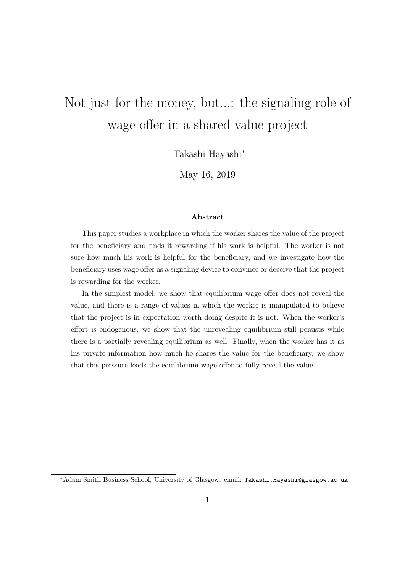# Not just for the money, but...: the signaling role of wage offer in a shared-value project

Takashi Hayashi*<sup>∗</sup>*

May 16, 2019

#### **Abstract**

This paper studies a workplace in which the worker shares the value of the project for the beneficiary and finds it rewarding if his work is helpful. The worker is not sure how much his work is helpful for the beneficiary, and we investigate how the beneficiary uses wage offer as a signaling device to convince or deceive that the project is rewarding for the worker.

In the simplest model, we show that equilibrium wage offer does not reveal the value, and there is a range of values in which the worker is manipulated to believe that the project is in expectation worth doing despite it is not. When the worker's effort is endogenous, we show that the unrevealing equilibrium still persists while there is a partially revealing equilibrium as well. Finally, when the worker has it as his private information how much he shares the value for the beneficiary, we show that this pressure leads the equilibrium wage offer to fully reveal the value.

*<sup>∗</sup>*Adam Smith Business School, University of Glasgow. email: Takashi.Hayashi@glasgow.ac.uk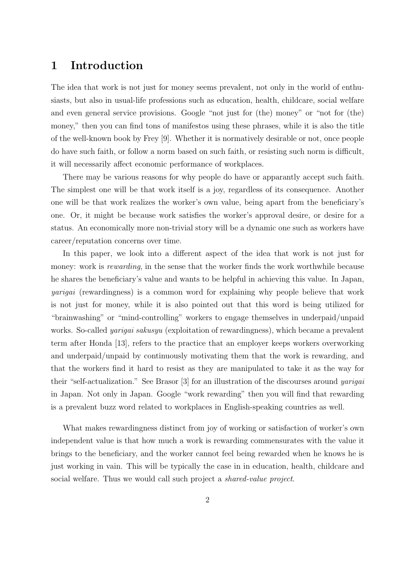# **1 Introduction**

The idea that work is not just for money seems prevalent, not only in the world of enthusiasts, but also in usual-life professions such as education, health, childcare, social welfare and even general service provisions. Google "not just for (the) money" or "not for (the) money," then you can find tons of manifestos using these phrases, while it is also the title of the well-known book by Frey [9]. Whether it is normatively desirable or not, once people do have such faith, or follow a norm based on such faith, or resisting such norm is difficult, it will necessarily affect economic performance of workplaces.

There may be various reasons for why people do have or apparantly accept such faith. The simplest one will be that work itself is a joy, regardless of its consequence. Another one will be that work realizes the worker's own value, being apart from the beneficiary's one. Or, it might be because work satisfies the worker's approval desire, or desire for a status. An economically more non-trivial story will be a dynamic one such as workers have career/reputation concerns over time.

In this paper, we look into a different aspect of the idea that work is not just for money: work is *rewarding*, in the sense that the worker finds the work worthwhile because he shares the beneficiary's value and wants to be helpful in achieving this value. In Japan, *yarigai* (rewardingness) is a common word for explaining why people believe that work is not just for money, while it is also pointed out that this word is being utilized for "brainwashing" or "mind-controlling" workers to engage themselves in underpaid/unpaid works. So-called *yarigai sakusyu* (exploitation of rewardingness), which became a prevalent term after Honda [13], refers to the practice that an employer keeps workers overworking and underpaid/unpaid by continuously motivating them that the work is rewarding, and that the workers find it hard to resist as they are manipulated to take it as the way for their "self-actualization." See Brasor [3] for an illustration of the discourses around *yarigai* in Japan. Not only in Japan. Google "work rewarding" then you will find that rewarding is a prevalent buzz word related to workplaces in English-speaking countries as well.

What makes rewardingness distinct from joy of working or satisfaction of worker's own independent value is that how much a work is rewarding commensurates with the value it brings to the beneficiary, and the worker cannot feel being rewarded when he knows he is just working in vain. This will be typically the case in in education, health, childcare and social welfare. Thus we would call such project a *shared-value project*.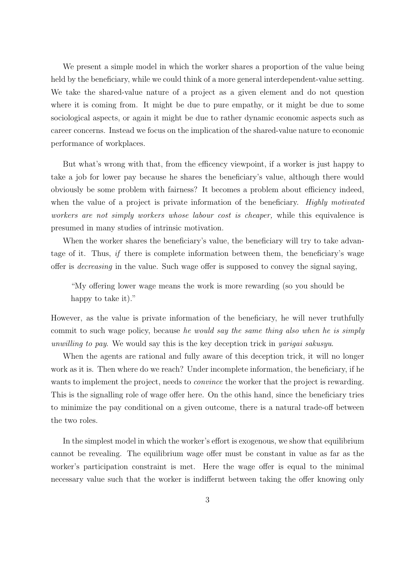We present a simple model in which the worker shares a proportion of the value being held by the beneficiary, while we could think of a more general interdependent-value setting. We take the shared-value nature of a project as a given element and do not question where it is coming from. It might be due to pure empathy, or it might be due to some sociological aspects, or again it might be due to rather dynamic economic aspects such as career concerns. Instead we focus on the implication of the shared-value nature to economic performance of workplaces.

But what's wrong with that, from the efficency viewpoint, if a worker is just happy to take a job for lower pay because he shares the beneficiary's value, although there would obviously be some problem with fairness? It becomes a problem about efficiency indeed, when the value of a project is private information of the beneficiary. *Highly motivated workers are not simply workers whose labour cost is cheaper,* while this equivalence is presumed in many studies of intrinsic motivation.

When the worker shares the beneficiary's value, the beneficiary will try to take advantage of it. Thus, *if* there is complete information between them, the beneficiary's wage offer is *decreasing* in the value. Such wage offer is supposed to convey the signal saying,

"My offering lower wage means the work is more rewarding (so you should be happy to take it)."

However, as the value is private information of the beneficiary, he will never truthfully commit to such wage policy, because *he would say the same thing also when he is simply unwilling to pay*. We would say this is the key deception trick in *yarigai sakusyu*.

When the agents are rational and fully aware of this deception trick, it will no longer work as it is. Then where do we reach? Under incomplete information, the beneficiary, if he wants to implement the project, needs to *convince* the worker that the project is rewarding. This is the signalling role of wage offer here. On the othis hand, since the beneficiary tries to minimize the pay conditional on a given outcome, there is a natural trade-off between the two roles.

In the simplest model in which the worker's effort is exogenous, we show that equilibrium cannot be revealing. The equilibrium wage offer must be constant in value as far as the worker's participation constraint is met. Here the wage offer is equal to the minimal necessary value such that the worker is indiffernt between taking the offer knowing only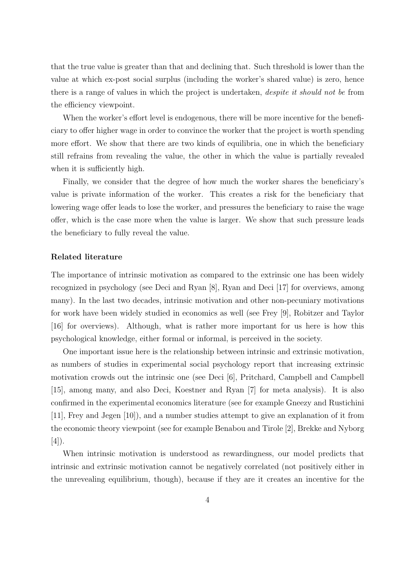that the true value is greater than that and declining that. Such threshold is lower than the value at which ex-post social surplus (including the worker's shared value) is zero, hence there is a range of values in which the project is undertaken, *despite it should not be* from the efficiency viewpoint.

When the worker's effort level is endogenous, there will be more incentive for the beneficiary to offer higher wage in order to convince the worker that the project is worth spending more effort. We show that there are two kinds of equilibria, one in which the beneficiary still refrains from revealing the value, the other in which the value is partially revealed when it is sufficiently high.

Finally, we consider that the degree of how much the worker shares the beneficiary's value is private information of the worker. This creates a risk for the beneficiary that lowering wage offer leads to lose the worker, and pressures the beneficiary to raise the wage offer, which is the case more when the value is larger. We show that such pressure leads the beneficiary to fully reveal the value.

#### **Related literature**

The importance of intrinsic motivation as compared to the extrinsic one has been widely recognized in psychology (see Deci and Ryan [8], Ryan and Deci [17] for overviews, among many). In the last two decades, intrinsic motivation and other non-pecuniary motivations for work have been widely studied in economics as well (see Frey [9], Robitzer and Taylor [16] for overviews). Although, what is rather more important for us here is how this psychological knowledge, either formal or informal, is perceived in the society.

One important issue here is the relationship between intrinsic and extrinsic motivation, as numbers of studies in experimental social psychology report that increasing extrinsic motivation crowds out the intrinsic one (see Deci [6], Pritchard, Campbell and Campbell [15], among many, and also Deci, Koestner and Ryan [7] for meta analysis). It is also confirmed in the experimental economics literature (see for example Gneezy and Rustichini [11], Frey and Jegen [10]), and a number studies attempt to give an explanation of it from the economic theory viewpoint (see for example Benabou and Tirole [2], Brekke and Nyborg  $|4|$ ).

When intrinsic motivation is understood as rewardingness, our model predicts that intrinsic and extrinsic motivation cannot be negatively correlated (not positively either in the unrevealing equilibrium, though), because if they are it creates an incentive for the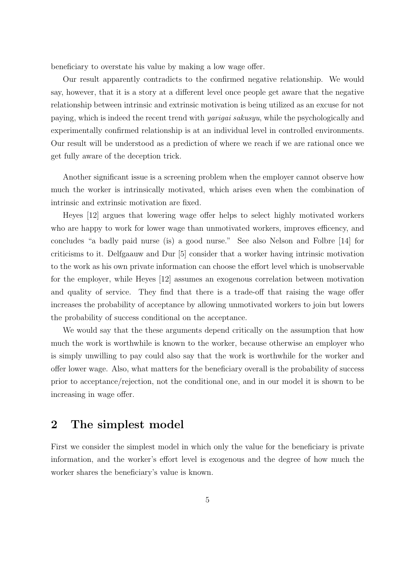beneficiary to overstate his value by making a low wage offer.

Our result apparently contradicts to the confirmed negative relationship. We would say, however, that it is a story at a different level once people get aware that the negative relationship between intrinsic and extrinsic motivation is being utilized as an excuse for not paying, which is indeed the recent trend with *yarigai sakusyu*, while the psychologically and experimentally confirmed relationship is at an individual level in controlled environments. Our result will be understood as a prediction of where we reach if we are rational once we get fully aware of the deception trick.

Another significant issue is a screening problem when the employer cannot observe how much the worker is intrinsically motivated, which arises even when the combination of intrinsic and extrinsic motivation are fixed.

Heyes [12] argues that lowering wage offer helps to select highly motivated workers who are happy to work for lower wage than unmotivated workers, improves efficency, and concludes "a badly paid nurse (is) a good nurse." See also Nelson and Folbre [14] for criticisms to it. Delfgaauw and Dur [5] consider that a worker having intrinsic motivation to the work as his own private information can choose the effort level which is unobservable for the employer, while Heyes [12] assumes an exogenous correlation between motivation and quality of service. They find that there is a trade-off that raising the wage offer increases the probability of acceptance by allowing unmotivated workers to join but lowers the probability of success conditional on the acceptance.

We would say that the these arguments depend critically on the assumption that how much the work is worthwhile is known to the worker, because otherwise an employer who is simply unwilling to pay could also say that the work is worthwhile for the worker and offer lower wage. Also, what matters for the beneficiary overall is the probability of success prior to acceptance/rejection, not the conditional one, and in our model it is shown to be increasing in wage offer.

# **2 The simplest model**

First we consider the simplest model in which only the value for the beneficiary is private information, and the worker's effort level is exogenous and the degree of how much the worker shares the beneficiary's value is known.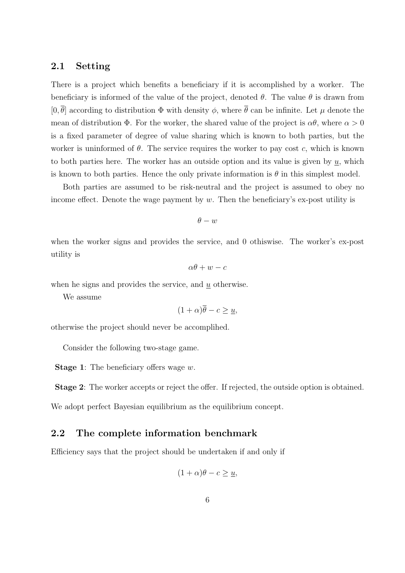### **2.1 Setting**

There is a project which benefits a beneficiary if it is accomplished by a worker. The beneficiary is informed of the value of the project, denoted  $\theta$ . The value  $\theta$  is drawn from  $[0, \overline{\theta}]$  according to distribution  $\Phi$  with density  $\phi$ , where  $\overline{\theta}$  can be infinite. Let  $\mu$  denote the mean of distribution  $\Phi$ . For the worker, the shared value of the project is  $\alpha\theta$ , where  $\alpha > 0$ is a fixed parameter of degree of value sharing which is known to both parties, but the worker is uninformed of  $\theta$ . The service requires the worker to pay cost  $c$ , which is known to both parties here. The worker has an outside option and its value is given by  $u$ , which is known to both parties. Hence the only private information is  $\theta$  in this simplest model.

Both parties are assumed to be risk-neutral and the project is assumed to obey no income effect. Denote the wage payment by *w*. Then the beneficiary's ex-post utility is

*θ − w*

when the worker signs and provides the service, and 0 othiswise. The worker's ex-post utility is

$$
\alpha\theta + w - c
$$

when he signs and provides the service, and *u* otherwise.

We assume

$$
(1+\alpha)\overline{\theta} - c \ge \underline{u},
$$

otherwise the project should never be accomplihed.

Consider the following two-stage game.

**Stage 1**: The beneficiary offers wage *w*.

**Stage 2**: The worker accepts or reject the offer. If rejected, the outside option is obtained.

We adopt perfect Bayesian equilibrium as the equilibrium concept.

### **2.2 The complete information benchmark**

Efficiency says that the project should be undertaken if and only if

$$
(1+\alpha)\theta - c \ge \underline{u},
$$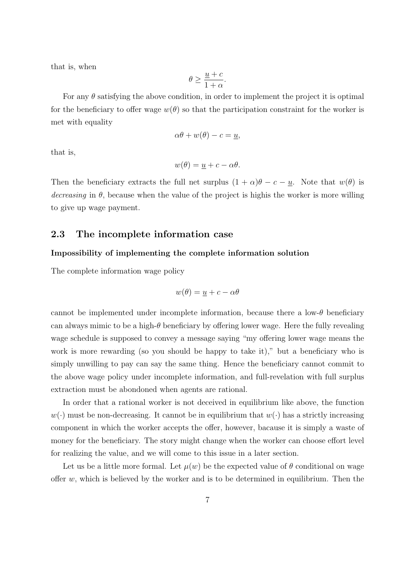that is, when

$$
\theta \geq \frac{\underline{u} + c}{1 + \alpha}.
$$

For any  $\theta$  satisfying the above condition, in order to implement the project it is optimal for the beneficiary to offer wage  $w(\theta)$  so that the participation constraint for the worker is met with equality

$$
\alpha \theta + w(\theta) - c = \underline{u},
$$

that is,

$$
w(\theta) = \underline{u} + c - \alpha \theta.
$$

Then the beneficiary extracts the full net surplus  $(1 + \alpha)\theta - c - \underline{u}$ . Note that  $w(\theta)$  is *decreasing* in  $\theta$ , because when the value of the project is highis the worker is more willing to give up wage payment.

# **2.3 The incomplete information case**

#### **Impossibility of implementing the complete information solution**

The complete information wage policy

$$
w(\theta) = \underline{u} + c - \alpha \theta
$$

cannot be implemented under incomplete information, because there a low- $\theta$  beneficiary can always mimic to be a high-*θ* beneficiary by offering lower wage. Here the fully revealing wage schedule is supposed to convey a message saying "my offering lower wage means the work is more rewarding (so you should be happy to take it)," but a beneficiary who is simply unwilling to pay can say the same thing. Hence the beneficiary cannot commit to the above wage policy under incomplete information, and full-revelation with full surplus extraction must be abondoned when agents are rational.

In order that a rational worker is not deceived in equilibrium like above, the function  $w(\cdot)$  must be non-decreasing. It cannot be in equilibrium that  $w(\cdot)$  has a strictly increasing component in which the worker accepts the offer, however, bacause it is simply a waste of money for the beneficiary. The story might change when the worker can choose effort level for realizing the value, and we will come to this issue in a later section.

Let us be a little more formal. Let  $\mu(w)$  be the expected value of  $\theta$  conditional on wage offer *w*, which is believed by the worker and is to be determined in equilibrium. Then the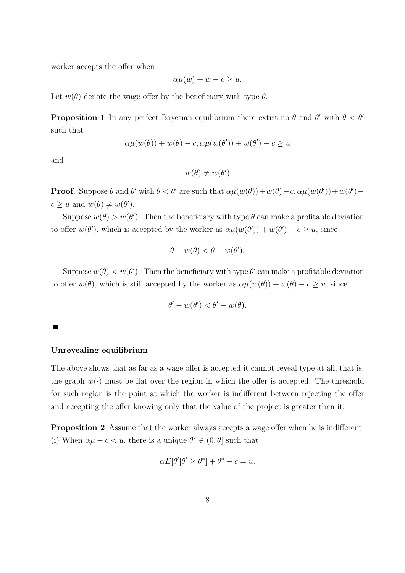worker accepts the offer when

$$
\alpha \mu(w) + w - c \geq \underline{u}.
$$

Let  $w(\theta)$  denote the wage offer by the beneficiary with type  $\theta$ .

**Proposition 1** In any perfect Bayesian equilibrium there extist no  $\theta$  and  $\theta'$  with  $\theta < \theta'$ such that

$$
\alpha \mu(w(\theta)) + w(\theta) - c, \alpha \mu(w(\theta')) + w(\theta') - c \ge \underline{u}
$$

and

$$
w(\theta) \neq w(\theta')
$$

**Proof.** Suppose  $\theta$  and  $\theta'$  with  $\theta < \theta'$  are such that  $\alpha\mu(w(\theta)) + w(\theta) - c$ ,  $\alpha\mu(w(\theta')) + w(\theta') - c$  $c \geq \underline{u}$  and  $w(\theta) \neq w(\theta')$ .

Suppose  $w(\theta) > w(\theta')$ . Then the beneficiary with type  $\theta$  can make a profitable deviation to offer  $w(\theta')$ , which is accepted by the worker as  $\alpha\mu(w(\theta')) + w(\theta') - c \geq \underline{u}$ , since

$$
\theta - w(\theta) < \theta - w(\theta').
$$

Suppose  $w(\theta) < w(\theta')$ . Then the beneficiary with type  $\theta'$  can make a profitable deviation to offer  $w(\theta)$ , which is still accepted by the worker as  $\alpha\mu(w(\theta)) + w(\theta) - c \geq u$ , since

$$
\theta'-w(\theta')<\theta'-w(\theta).
$$

#### **Unrevealing equilibrium**

The above shows that as far as a wage offer is accepted it cannot reveal type at all, that is, the graph  $w(\cdot)$  must be flat over the region in which the offer is accepted. The threshold for such region is the point at which the worker is indifferent between rejecting the offer and accepting the offer knowing only that the value of the project is greater than it.

**Proposition 2** Assume that the worker always accepts a wage offer when he is indifferent. (i) When  $\alpha\mu - c < u$ , there is a unique  $\theta^* \in (0, \theta]$  such that

$$
\alpha E[\theta'|\theta' \ge \theta^*] + \theta^* - c = \underline{u}.
$$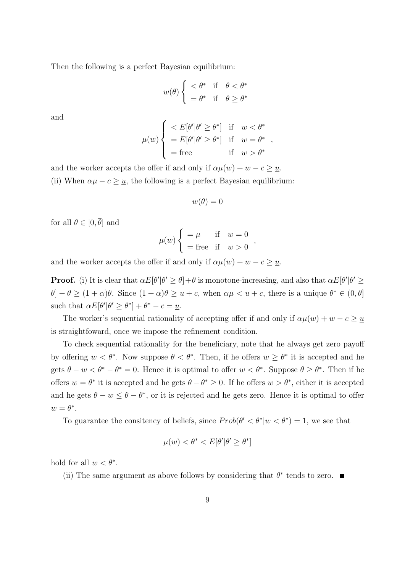Then the following is a perfect Bayesian equilibrium:

$$
w(\theta) \begin{cases} < \theta^* \quad \text{if} \quad \theta < \theta^* \\ = \theta^* \quad \text{if} \quad \theta \ge \theta^* \end{cases}
$$

and

$$
\mu(w) \begin{cases}\n< E[\theta'|\theta' \ge \theta^*] & \text{if } w < \theta^* \\
& = E[\theta'|\theta' \ge \theta^*] & \text{if } w = \theta^* \\
& = \text{free} & \text{if } w > \theta^*\n\end{cases}
$$

and the worker accepts the offer if and only if  $\alpha \mu(w) + w - c \geq u$ . (ii) When  $\alpha\mu - c \geq u$ , the following is a perfect Bayesian equilibrium:

$$
w(\theta) = 0
$$

for all  $\theta \in [0, \overline{\theta}]$  and

$$
\mu(w) \begin{cases} = \mu & \text{if} \quad w = 0 \\ = \text{free} & \text{if} \quad w > 0 \end{cases},
$$

and the worker accepts the offer if and only if  $\alpha \mu(w) + w - c \geq u$ .

**Proof.** (i) It is clear that  $\alpha E[\theta'|\theta' \ge \theta] + \theta$  is monotone-increasing, and also that  $\alpha E[\theta'|\theta' \ge \theta]$  $\theta$  +  $\theta \geq (1 + \alpha)\theta$ . Since  $(1 + \alpha)\theta \geq \underline{u} + c$ , when  $\alpha\mu < \underline{u} + c$ , there is a unique  $\theta^* \in (0, \theta]$  $\text{such that } \alpha E[\theta'|\theta' \geq \theta^*] + \theta^* - c = \underline{u}.$ 

The worker's sequential rationality of accepting offer if and only if  $\alpha \mu(w) + w - c \geq u$ is straightfoward, once we impose the refinement condition.

To check sequential rationality for the beneficiary, note that he always get zero payoff by offering  $w < \theta^*$ . Now suppose  $\theta < \theta^*$ . Then, if he offers  $w \geq \theta^*$  it is accepted and he gets  $\theta - w < \theta^* - \theta^* = 0$ . Hence it is optimal to offer  $w < \theta^*$ . Suppose  $\theta \ge \theta^*$ . Then if he offers  $w = \theta^*$  it is accepted and he gets  $\theta - \theta^* \geq 0$ . If he offers  $w > \theta^*$ , either it is accepted and he gets  $\theta$  *− w*  $\leq \theta$  *−*  $\theta$ <sup>\*</sup>, or it is rejected and he gets zero. Hence it is optimal to offer  $w = \theta^*$ .

To guarantee the consitency of beliefs, since  $Prob(\theta' < \theta^* | w < \theta^*) = 1$ , we see that

$$
\mu(w) < \theta^* < E[\theta'|\theta' \ge \theta^*]
$$

hold for all  $w < \theta^*$ .

(ii) The same argument as above follows by considering that  $\theta^*$  tends to zero.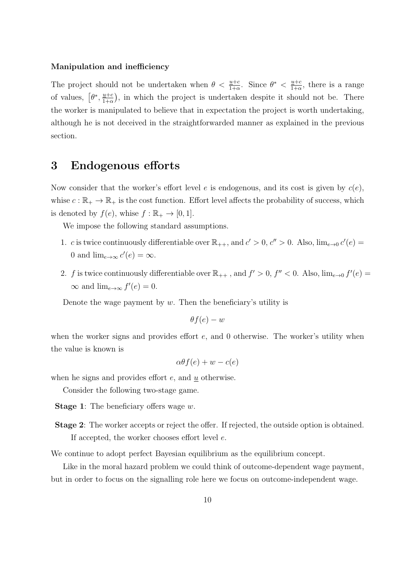#### **Manipulation and inefficiency**

The project should not be undertaken when  $\theta < \frac{\mu+c}{1+\alpha}$ . Since  $\theta^* < \frac{\mu+c}{1+\alpha}$  $\frac{u+c}{1+\alpha}$ , there is a range of values,  $\left[\theta^*, \frac{\underline{u}+c}{1+c}\right]$  $\frac{u+c}{1+\alpha}$ , in which the project is undertaken despite it should not be. There the worker is manipulated to believe that in expectation the project is worth undertaking, although he is not deceived in the straightforwarded manner as explained in the previous section.

# **3 Endogenous efforts**

Now consider that the worker's effort level *e* is endogenous, and its cost is given by *c*(*e*), whise  $c : \mathbb{R}_+ \to \mathbb{R}_+$  is the cost function. Effort level affects the probability of success, which is denoted by  $f(e)$ , whise  $f : \mathbb{R}_+ \to [0,1]$ .

We impose the following standard assumptions.

- 1. *c* is twice continuously differentiable over  $\mathbb{R}_{++}$ , and  $c' > 0$ ,  $c'' > 0$ . Also,  $\lim_{e \to 0} c'(e) =$ 0 and  $\lim_{e\to\infty} c'(e) = \infty$ .
- 2. *f* is twice continuously differentiable over  $\mathbb{R}_{++}$ , and  $f' > 0$ ,  $f'' < 0$ . Also,  $\lim_{e \to 0} f'(e) =$  $\infty$  and  $\lim_{e \to \infty} f'(e) = 0.$

Denote the wage payment by *w*. Then the beneficiary's utility is

$$
\theta f(e) - w
$$

when the worker signs and provides effort *e*, and 0 otherwise. The worker's utility when the value is known is

$$
\alpha\theta f(e) + w - c(e)
$$

when he signs and provides effort *e*, and *u* otherwise.

Consider the following two-stage game.

- **Stage 1**: The beneficiary offers wage *w*.
- **Stage 2**: The worker accepts or reject the offer. If rejected, the outside option is obtained. If accepted, the worker chooses effort level *e*.

We continue to adopt perfect Bayesian equilibrium as the equilibrium concept.

Like in the moral hazard problem we could think of outcome-dependent wage payment, but in order to focus on the signalling role here we focus on outcome-independent wage.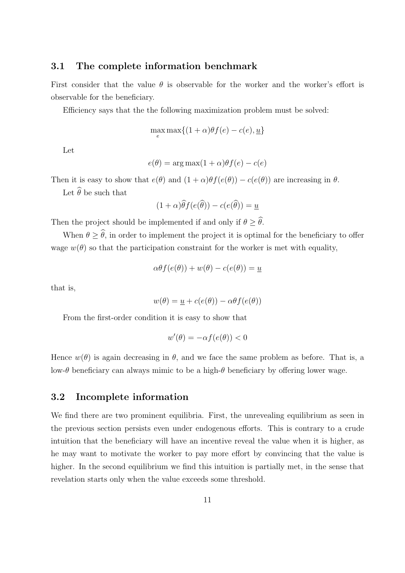### **3.1 The complete information benchmark**

First consider that the value  $\theta$  is observable for the worker and the worker's effort is observable for the beneficiary.

Efficiency says that the the following maximization problem must be solved:

$$
\max_{e} \max \{ (1+\alpha)\theta f(e) - c(e), \underline{u} \}
$$

Let

$$
e(\theta) = \arg \max(1 + \alpha)\theta f(e) - c(e)
$$

Then it is easy to show that  $e(\theta)$  and  $(1 + \alpha)\theta f(e(\theta)) - c(e(\theta))$  are increasing in  $\theta$ .

Let  $\widehat{\theta}$  be such that

$$
(1+\alpha)\widehat{\theta}f(e(\widehat{\theta})) - c(e(\widehat{\theta})) = \underline{u}
$$

Then the project should be implemented if and only if  $\theta > \hat{\theta}$ .

When  $\theta \geq \hat{\theta}$ , in order to implement the project it is optimal for the beneficiary to offer wage  $w(\theta)$  so that the participation constraint for the worker is met with equality,

$$
\alpha \theta f(e(\theta)) + w(\theta) - c(e(\theta)) = \underline{u}
$$

that is,

$$
w(\theta) = \underline{u} + c(e(\theta)) - \alpha \theta f(e(\theta))
$$

From the first-order condition it is easy to show that

$$
w'(\theta) = -\alpha f(e(\theta)) < 0
$$

Hence  $w(\theta)$  is again decreasing in  $\theta$ , and we face the same problem as before. That is, a low-*θ* beneficiary can always mimic to be a high-*θ* beneficiary by offering lower wage.

### **3.2 Incomplete information**

We find there are two prominent equilibria. First, the unrevealing equilibrium as seen in the previous section persists even under endogenous efforts. This is contrary to a crude intuition that the beneficiary will have an incentive reveal the value when it is higher, as he may want to motivate the worker to pay more effort by convincing that the value is higher. In the second equilibrium we find this intuition is partially met, in the sense that revelation starts only when the value exceeds some threshold.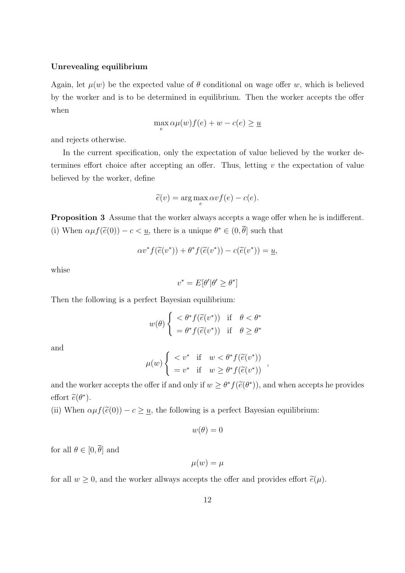#### **Unrevealing equilibrium**

Again, let  $\mu(w)$  be the expected value of  $\theta$  conditional on wage offer *w*, which is believed by the worker and is to be determined in equilibrium. Then the worker accepts the offer when

$$
\max_{e} \alpha \mu(w) f(e) + w - c(e) \ge \underline{u}
$$

and rejects otherwise.

In the current specification, only the expectation of value believed by the worker determines effort choice after accepting an offer. Thus, letting *v* the expectation of value believed by the worker, define

$$
\widetilde{e}(v) = \arg\max_{e} \alpha v f(e) - c(e).
$$

**Proposition 3** Assume that the worker always accepts a wage offer when he is indifferent. (i) When  $\alpha \mu f(\tilde{e}(0)) - c < u$ , there is a unique  $\theta^* \in (0, \theta]$  such that

$$
\alpha v^* f(\widetilde{e}(v^*)) + \theta^* f(\widetilde{e}(v^*)) - c(\widetilde{e}(v^*)) = \underline{u},
$$

whise

$$
v^* = E[\theta' | \theta' \ge \theta^*]
$$

Then the following is a perfect Bayesian equilibrium:

$$
w(\theta) \begin{cases} < \theta^* f(\widetilde{e}(v^*)) & \text{if } \theta < \theta^* \\ = \theta^* f(\widetilde{e}(v^*)) & \text{if } \theta \ge \theta^* \end{cases}
$$

and

$$
\mu(w) \begin{cases} < v^* \quad \text{if} \quad w < \theta^* f(\widetilde{e}(v^*)) \\ = v^* \quad \text{if} \quad w \ge \theta^* f(\widetilde{e}(v^*)) \end{cases},
$$

and the worker accepts the offer if and only if  $w \geq \theta^* f(\tilde{e}(\theta^*))$ , and when accepts he provides effort  $\tilde{e}(\theta^*)$ .

(ii) When  $\alpha \mu f(\tilde{e}(0)) - c \geq \underline{u}$ , the following is a perfect Bayesian equilibrium:

$$
w(\theta) = 0
$$

for all  $\theta \in [0, \overline{\theta}]$  and

$$
\mu(w)=\mu
$$

for all  $w \geq 0$ , and the worker allways accepts the offer and provides effort  $\tilde{e}(\mu)$ .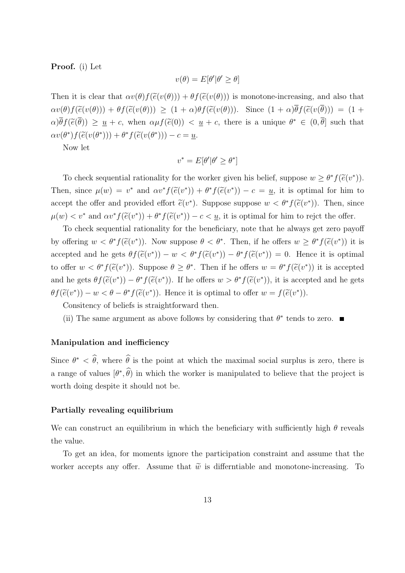#### **Proof.** (i) Let

$$
v(\theta) = E[\theta'|\theta' \ge \theta]
$$

Then it is clear that  $\alpha v(\theta) f(\tilde{e}(v(\theta))) + \theta f(\tilde{e}(v(\theta)))$  is monotone-increasing, and also that  $\alpha v(\theta) f(\widetilde{e}(v(\theta))) + \theta f(\widetilde{e}(v(\theta))) \geq (1+\alpha)\theta f(\widetilde{e}(v(\theta))).$  Since  $(1+\alpha)\overline{\theta} f(\widetilde{e}(v(\overline{\theta}))) = (1+\alpha)\overline{\theta} f(\widetilde{e}(v(\overline{\theta})))$  $\alpha$ )*θ*  $f(\tilde{e}(\theta)) \geq u + c$ , when  $\alpha \mu f(\tilde{e}(0)) < u + c$ , there is a unique  $\theta^* \in (0, \theta]$  such that  $\alpha v(\theta^*) f(\widetilde{e}(v(\theta^*))) + \theta^* f(\widetilde{e}(v(\theta^*))) - c = \underline{u}.$ 

Now let

$$
v^* = E[\theta' | \theta' \ge \theta^*]
$$

To check sequential rationality for the worker given his belief, suppose  $w \geq \theta^* f(\tilde{e}(v^*))$ . Then, since  $\mu(w) = v^*$  and  $\alpha v^* f(\tilde{e}(v^*)) + \theta^* f(\tilde{e}(v^*)) - c = u$ , it is optimal for him to accept the offer and provided effort  $\tilde{e}(v^*)$ . Suppose suppose  $w < \theta^* f(\tilde{e}(v^*))$ . Then, since  $\mu(w) < v^*$  and  $\alpha v^* f(\tilde{e}(v^*)) + \theta^* f(\tilde{e}(v^*)) - c < u$ , it is optimal for him to rejct the offer.

To check sequential rationality for the beneficiary, note that he always get zero payoff by offering  $w < \theta^* f(\tilde{e}(v^*))$ . Now suppose  $\theta < \theta^*$ . Then, if he offers  $w \geq \theta^* f(\tilde{e}(v^*))$  it is accepted and he gets  $\theta f(\tilde{e}(v^*)) - w < \theta^* f(\tilde{e}(v^*)) - \theta^* f(\tilde{e}(v^*)) = 0$ . Hence it is optimal to offer  $w < \theta^* f(\tilde{e}(v^*))$ . Suppose  $\theta \ge \theta^*$ . Then if he offers  $w = \theta^* f(\tilde{e}(v^*))$  it is accepted and he gets  $\theta f(\tilde{e}(v^*)) - \theta^* f(\tilde{e}(v^*))$ . If he offers  $w > \theta^* f(\tilde{e}(v^*))$ , it is accepted and he gets  $\theta f(\tilde{e}(v^*)) - w < \theta - \theta^* f(\tilde{e}(v^*))$ . Hence it is optimal to offer  $w = f(\tilde{e}(v^*))$ .

Consitency of beliefs is straightforward then.

(ii) The same argument as above follows by considering that  $\theta^*$  tends to zero.

#### **Manipulation and inefficiency**

Since  $\theta^* < \theta$ , where  $\theta$  is the point at which the maximal social surplus is zero, there is a range of values  $(\theta^*, \theta)$  in which the worker is manipulated to believe that the project is worth doing despite it should not be.

#### **Partially revealing equilibrium**

We can construct an equilibrium in which the beneficiary with sufficiently high *θ* reveals the value.

To get an idea, for moments ignore the participation constraint and assume that the worker accepts any offer. Assume that  $\tilde{w}$  is differntiable and monotone-increasing. To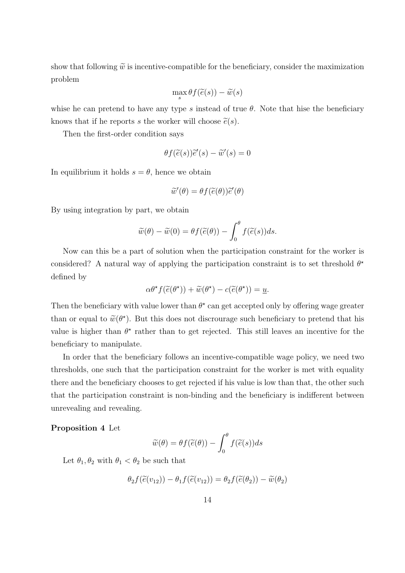show that following  $\tilde{w}$  is incentive-compatible for the beneficiary, consider the maximization problem

$$
\max_{s} \theta f(\widetilde{e}(s)) - \widetilde{w}(s)
$$

whise he can pretend to have any type *s* instead of true  $\theta$ . Note that hise the beneficiary knows that if he reports *s* the worker will choose  $\tilde{e}(s)$ .

Then the first-order condition says

$$
\theta f(\widetilde{e}(s))\widetilde{e}'(s) - \widetilde{w}'(s) = 0
$$

In equilibrium it holds  $s = \theta$ , hence we obtain

$$
\widetilde{w}'(\theta) = \theta f(\widetilde{e}(\theta))\widetilde{e}'(\theta)
$$

By using integration by part, we obtain

$$
\widetilde{w}(\theta) - \widetilde{w}(0) = \theta f(\widetilde{e}(\theta)) - \int_0^{\theta} f(\widetilde{e}(s))ds.
$$

Now can this be a part of solution when the participation constraint for the worker is considered? A natural way of applying the participation constraint is to set threshold  $\theta^*$ defined by

$$
\alpha \theta^{\star} f(\widetilde{e}(\theta^{\star})) + \widetilde{w}(\theta^{\star}) - c(\widetilde{e}(\theta^{\star})) = \underline{u}.
$$

Then the beneficiary with value lower than  $\theta^*$  can get accepted only by offering wage greater than or equal to  $\widetilde{w}(\theta^*)$ . But this does not discrourage such beneficiary to pretend that his value is higher than  $\theta^*$  rather than to get rejected. This still leaves an incentive for the beneficiary to manipulate.

In order that the beneficiary follows an incentive-compatible wage policy, we need two thresholds, one such that the participation constraint for the worker is met with equality there and the beneficiary chooses to get rejected if his value is low than that, the other such that the participation constraint is non-binding and the beneficiary is indifferent between unrevealing and revealing.

#### **Proposition 4** Let

$$
\widetilde{w}(\theta) = \theta f(\widetilde{e}(\theta)) - \int_0^{\theta} f(\widetilde{e}(s))ds
$$

Let  $\theta_1, \theta_2$  with  $\theta_1 < \theta_2$  be such that

$$
\theta_2 f(\widetilde{e}(v_{12})) - \theta_1 f(\widetilde{e}(v_{12})) = \theta_2 f(\widetilde{e}(\theta_2)) - \widetilde{w}(\theta_2)
$$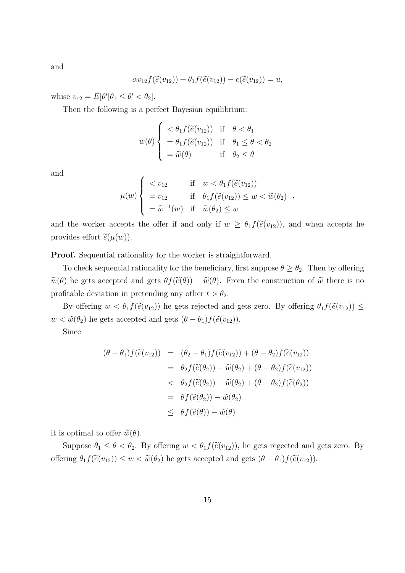and

$$
\alpha v_{12} f(\widetilde{e}(v_{12})) + \theta_1 f(\widetilde{e}(v_{12})) - c(\widetilde{e}(v_{12})) = \underline{u},
$$

 $\text{whise } v_{12} = E[\theta' | \theta_1 \le \theta' < \theta_2].$ 

Then the following is a perfect Bayesian equilibrium:

$$
w(\theta) \begin{cases} < \theta_1 f(\widetilde{e}(v_{12})) & \text{if } \theta < \theta_1 \\ & = \theta_1 f(\widetilde{e}(v_{12})) & \text{if } \theta_1 \le \theta < \theta_2 \\ & = \widetilde{w}(\theta) & \text{if } \theta_2 \le \theta \end{cases}
$$

and

$$
\mu(w) \begin{cases}\n< v_{12} & \text{if } w < \theta_1 f(\widetilde{e}(v_{12})) \\
> v_{12} & \text{if } \theta_1 f(\widetilde{e}(v_{12})) \leq w < \widetilde{w}(\theta_2) \\
> \widetilde{w}^{-1}(w) & \text{if } \widetilde{w}(\theta_2) \leq w\n\end{cases}
$$

and the worker accepts the offer if and only if  $w \geq \theta_1 f(\tilde{e}(v_{12}))$ , and when accepts he provides effort  $\tilde{e}(\mu(w))$ .

**Proof.** Sequential rationality for the worker is straightforward.

To check sequential rationality for the beneficiary, first suppose  $\theta \ge \theta_2$ . Then by offering  $\widetilde{w}(\theta)$  he gets accepted and gets  $\theta f(\widetilde{e}(\theta)) - \widetilde{w}(\theta)$ . From the construction of  $\widetilde{w}$  there is no profitable deviation in pretending any other  $t > \theta_2$ .

By offering  $w < \theta_1 f(\tilde{e}(v_{12}))$  he gets rejected and gets zero. By offering  $\theta_1 f(\tilde{e}(v_{12})) \le$  $w < \widetilde{w}(\theta_2)$  he gets accepted and gets  $(\theta - \theta_1) f(\widetilde{e}(v_{12}))$ .

Since

$$
(\theta - \theta_1) f(\tilde{e}(v_{12})) = (\theta_2 - \theta_1) f(\tilde{e}(v_{12})) + (\theta - \theta_2) f(\tilde{e}(v_{12}))
$$
  
\n
$$
= \theta_2 f(\tilde{e}(\theta_2)) - \tilde{w}(\theta_2) + (\theta - \theta_2) f(\tilde{e}(v_{12}))
$$
  
\n
$$
< \theta_2 f(\tilde{e}(\theta_2)) - \tilde{w}(\theta_2) + (\theta - \theta_2) f(\tilde{e}(\theta_2))
$$
  
\n
$$
= \theta f(\tilde{e}(\theta_2)) - \tilde{w}(\theta_2)
$$
  
\n
$$
\leq \theta f(\tilde{e}(\theta)) - \tilde{w}(\theta)
$$

it is optimal to offer  $\widetilde{w}(\theta)$ .

Suppose  $\theta_1 \leq \theta < \theta_2$ . By offering  $w < \theta_1 f(\tilde{e}(v_{12}))$ , he gets regected and gets zero. By offering  $\theta_1 f(\tilde{e}(v_{12})) \leq w < \tilde{w}(\theta_2)$  he gets accepted and gets  $(\theta - \theta_1) f(\tilde{e}(v_{12}))$ .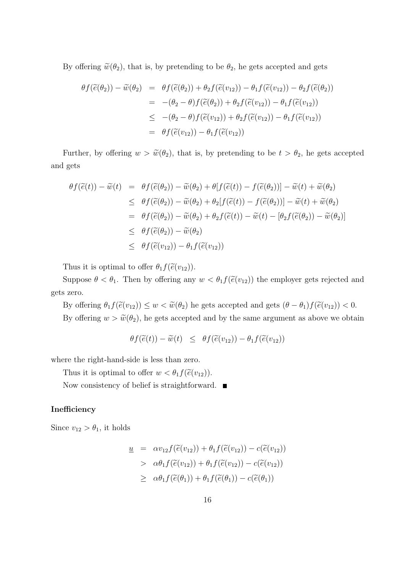By offering  $\tilde{w}(\theta_2)$ , that is, by pretending to be  $\theta_2$ , he gets accepted and gets

$$
\theta f(\widetilde{e}(\theta_2)) - \widetilde{w}(\theta_2) = \theta f(\widetilde{e}(\theta_2)) + \theta_2 f(\widetilde{e}(v_{12})) - \theta_1 f(\widetilde{e}(v_{12})) - \theta_2 f(\widetilde{e}(\theta_2))
$$
  
\n
$$
= -(\theta_2 - \theta) f(\widetilde{e}(\theta_2)) + \theta_2 f(\widetilde{e}(v_{12})) - \theta_1 f(\widetilde{e}(v_{12}))
$$
  
\n
$$
\leq -(\theta_2 - \theta) f(\widetilde{e}(v_{12})) + \theta_2 f(\widetilde{e}(v_{12})) - \theta_1 f(\widetilde{e}(v_{12}))
$$
  
\n
$$
= \theta f(\widetilde{e}(v_{12})) - \theta_1 f(\widetilde{e}(v_{12}))
$$

Further, by offering  $w > \tilde{w}(\theta_2)$ , that is, by pretending to be  $t > \theta_2$ , he gets accepted and gets

$$
\theta f(\tilde{e}(t)) - \tilde{w}(t) = \theta f(\tilde{e}(\theta_2)) - \tilde{w}(\theta_2) + \theta [f(\tilde{e}(t)) - f(\tilde{e}(\theta_2))] - \tilde{w}(t) + \tilde{w}(\theta_2)
$$
  
\n
$$
\leq \theta f(\tilde{e}(\theta_2)) - \tilde{w}(\theta_2) + \theta_2 [f(\tilde{e}(t)) - f(\tilde{e}(\theta_2))] - \tilde{w}(t) + \tilde{w}(\theta_2)
$$
  
\n
$$
= \theta f(\tilde{e}(\theta_2)) - \tilde{w}(\theta_2) + \theta_2 f(\tilde{e}(t)) - \tilde{w}(t) - [\theta_2 f(\tilde{e}(\theta_2)) - \tilde{w}(\theta_2)]
$$
  
\n
$$
\leq \theta f(\tilde{e}(\theta_2)) - \tilde{w}(\theta_2)
$$
  
\n
$$
\leq \theta f(\tilde{e}(v_{12})) - \theta_1 f(\tilde{e}(v_{12}))
$$

Thus it is optimal to offer  $\theta_1 f(\widetilde{e}(v_{12}))$ .

Suppose  $\theta < \theta_1$ . Then by offering any  $w < \theta_1 f(\tilde{e}(v_{12}))$  the employer gets rejected and gets zero.

By offering  $\theta_1 f(\tilde{e}(v_{12})) \leq w < \tilde{w}(\theta_2)$  he gets accepted and gets  $(\theta - \theta_1) f(\tilde{e}(v_{12})) < 0$ . By offering  $w > \tilde{w}(\theta_2)$ , he gets accepted and by the same argument as above we obtain

$$
\theta f(\widetilde{e}(t)) - \widetilde{w}(t) \leq \theta f(\widetilde{e}(v_{12})) - \theta_1 f(\widetilde{e}(v_{12}))
$$

where the right-hand-side is less than zero.

Thus it is optimal to offer  $w < \theta_1 f(\widetilde{e}(v_{12}))$ .

Now consistency of belief is straightforward.

#### **Inefficiency**

Since  $v_{12} > \theta_1$ , it holds

$$
\underline{u} = \alpha v_{12} f(\widetilde{e}(v_{12})) + \theta_1 f(\widetilde{e}(v_{12})) - c(\widetilde{e}(v_{12}))
$$
  
>  $\alpha \theta_1 f(\widetilde{e}(v_{12})) + \theta_1 f(\widetilde{e}(v_{12})) - c(\widetilde{e}(v_{12}))$   
>  $\alpha \theta_1 f(\widetilde{e}(\theta_1)) + \theta_1 f(\widetilde{e}(\theta_1)) - c(\widetilde{e}(\theta_1))$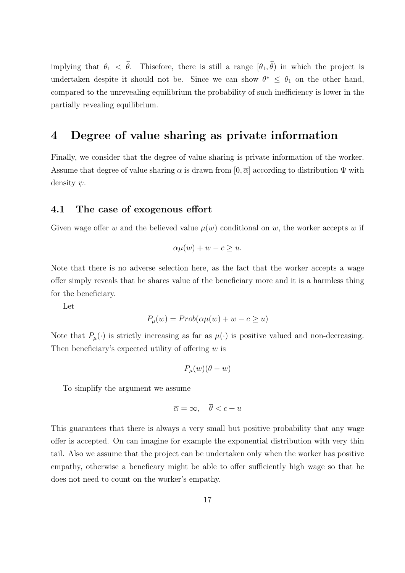implying that  $\theta_1 < \hat{\theta}$ . Thisefore, there is still a range  $[\theta_1, \hat{\theta}]$  in which the project is undertaken despite it should not be. Since we can show  $\theta^* \leq \theta_1$  on the other hand, compared to the unrevealing equilibrium the probability of such inefficiency is lower in the partially revealing equilibrium.

# **4 Degree of value sharing as private information**

Finally, we consider that the degree of value sharing is private information of the worker. Assume that degree of value sharing  $\alpha$  is drawn from  $[0, \overline{\alpha}]$  according to distribution  $\Psi$  with density *ψ*.

### **4.1 The case of exogenous effort**

Given wage offer *w* and the believed value  $\mu(w)$  conditional on *w*, the worker accepts *w* if

$$
\alpha \mu(w) + w - c \geq \underline{u}.
$$

Note that there is no adverse selection here, as the fact that the worker accepts a wage offer simply reveals that he shares value of the beneficiary more and it is a harmless thing for the beneficiary.

Let

$$
P_{\mu}(w) = Prob(\alpha \mu(w) + w - c \ge \underline{u})
$$

Note that  $P_\mu(\cdot)$  is strictly increasing as far as  $\mu(\cdot)$  is positive valued and non-decreasing. Then beneficiary's expected utility of offering *w* is

$$
P_{\mu}(w)(\theta - w)
$$

To simplify the argument we assume

$$
\overline{\alpha} = \infty, \quad \overline{\theta} < c + \underline{u}
$$

This guarantees that there is always a very small but positive probability that any wage offer is accepted. On can imagine for example the exponential distribution with very thin tail. Also we assume that the project can be undertaken only when the worker has positive empathy, otherwise a beneficary might be able to offer sufficiently high wage so that he does not need to count on the worker's empathy.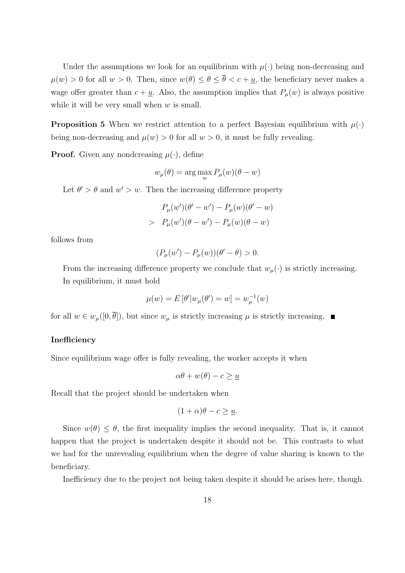Under the assumptions we look for an equilibrium with  $\mu(\cdot)$  being non-decreasing and  $\mu(w) > 0$  for all  $w > 0$ . Then, since  $w(\theta) \le \theta \le \overline{\theta} < c + \underline{u}$ , the beneficiary never makes a wage offer greater than  $c + \underline{u}$ . Also, the assumption implies that  $P_{\mu}(w)$  is always positive while it will be very small when *w* is small.

**Proposition 5** When we restrict attention to a perfect Bayesian equilibrium with  $\mu(\cdot)$ being non-decreasing and  $\mu(w) > 0$  for all  $w > 0$ , it must be fully revealing.

**Proof.** Given any nondcreasing  $\mu(\cdot)$ , define

$$
w_{\mu}(\theta) = \arg\max_{w} P_{\mu}(w)(\theta - w)
$$

Let  $\theta' > \theta$  and  $w' > w$ . Then the increasing difference property

$$
P_{\mu}(w')(\theta' - w') - P_{\mu}(w)(\theta' - w)
$$
  
>  $P_{\mu}(w')(\theta - w') - P_{\mu}(w)(\theta - w)$ 

follows from

$$
(P_{\mu}(w') - P_{\mu}(w))(\theta' - \theta) > 0.
$$

From the increasing difference property we conclude that  $w_{\mu}(\cdot)$  is strictly increasing. In equilibrium, it must hold

$$
\mu(w) = E[\theta'|w_{\mu}(\theta') = w] = w_{\mu}^{-1}(w)
$$

for all  $w \in w_\mu([0, \overline{\theta}])$ , but since  $w_\mu$  is strictly increasing  $\mu$  is strictly increasing.

### **Inefficiency**

Since equilibrium wage offer is fully revealing, the worker accepts it when

$$
\alpha \theta + w(\theta) - c \ge \underline{u}
$$

Recall that the project should be undertaken when

$$
(1+\alpha)\theta - c \ge \underline{u}.
$$

Since  $w(\theta) \leq \theta$ , the first inequality implies the second inequality. That is, it cannot happen that the project is undertaken despite it should not be. This contrasts to what we had for the unrevealing equilibrium when the degree of value sharing is known to the beneficiary.

Inefficiency due to the project not being taken despite it should be arises here, though.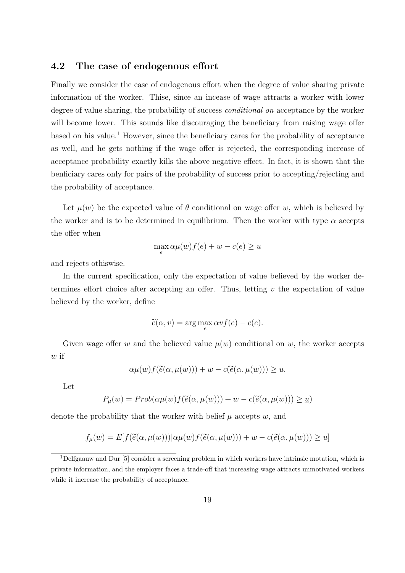# **4.2 The case of endogenous effort**

Finally we consider the case of endogenous effort when the degree of value sharing private information of the worker. Thise, since an incease of wage attracts a worker with lower degree of value sharing, the probability of success *conditional on* acceptance by the worker will become lower. This sounds like discouraging the beneficiary from raising wage offer based on his value.<sup>1</sup> However, since the beneficiary cares for the probability of acceptance as well, and he gets nothing if the wage offer is rejected, the corresponding increase of acceptance probability exactly kills the above negative effect. In fact, it is shown that the benficiary cares only for pairs of the probability of success prior to accepting/rejecting and the probability of acceptance.

Let  $\mu(w)$  be the expected value of  $\theta$  conditional on wage offer *w*, which is believed by the worker and is to be determined in equilibrium. Then the worker with type  $\alpha$  accepts the offer when

$$
\max_{e} \alpha \mu(w) f(e) + w - c(e) \ge \underline{u}
$$

and rejects othiswise.

In the current specification, only the expectation of value believed by the worker determines effort choice after accepting an offer. Thus, letting *v* the expectation of value believed by the worker, define

$$
\widetilde{e}(\alpha, v) = \arg\max_{e} \alpha v f(e) - c(e).
$$

Given wage offer *w* and the believed value  $\mu(w)$  conditional on *w*, the worker accepts *w* if

$$
\alpha \mu(w) f(\widetilde{e}(\alpha, \mu(w))) + w - c(\widetilde{e}(\alpha, \mu(w))) \ge \underline{u}.
$$

Let

$$
P_{\mu}(w) = Prob(\alpha \mu(w) f(\tilde{e}(\alpha, \mu(w))) + w - c(\tilde{e}(\alpha, \mu(w))) \ge \underline{u})
$$

denote the probability that the worker with belief  $\mu$  accepts  $w$ , and

$$
f_{\mu}(w) = E[f(\widetilde{e}(\alpha, \mu(w))) | \alpha \mu(w) f(\widetilde{e}(\alpha, \mu(w))) + w - c(\widetilde{e}(\alpha, \mu(w))) \ge \underline{u}]
$$

 $1$ Delfgaauw and Dur [5] consider a screening problem in which workers have intrinsic motation, which is private information, and the employer faces a trade-off that increasing wage attracts unmotivated workers while it increase the probability of acceptance.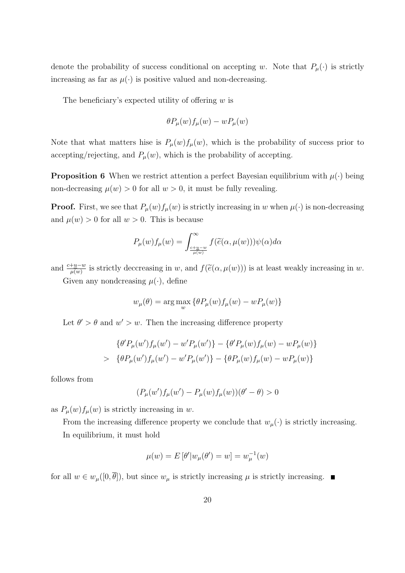denote the probability of success conditional on accepting *w*. Note that  $P_\mu(\cdot)$  is strictly increasing as far as  $\mu(\cdot)$  is positive valued and non-decreasing.

The beneficiary's expected utility of offering *w* is

$$
\theta P_{\mu}(w) f_{\mu}(w) - w P_{\mu}(w)
$$

Note that what matters hise is  $P_{\mu}(w) f_{\mu}(w)$ , which is the probability of success prior to accepting/rejecting, and  $P_\mu(w)$ , which is the probability of accepting.

**Proposition 6** When we restrict attention a perfect Bayesian equilibrium with  $\mu(\cdot)$  being non-decreasing  $\mu(w) > 0$  for all  $w > 0$ , it must be fully revealing.

**Proof.** First, we see that  $P_\mu(w)f_\mu(w)$  is strictly increasing in *w* when  $\mu(\cdot)$  is non-decreasing and  $\mu(w) > 0$  for all  $w > 0$ . This is because

$$
P_{\mu}(w)f_{\mu}(w) = \int_{\frac{c+u-w}{\mu(w)}}^{\infty} f(\widetilde{e}(\alpha, \mu(w)))\psi(\alpha)d\alpha
$$

and  $\frac{c+\underline{u}-w}{\mu(\underline{w})}$  is strictly deccreasing in *w*, and  $f(\tilde{e}(\alpha,\mu(\underline{w})))$  is at least weakly increasing in *w*. Given any nondcreasing  $\mu(\cdot)$ , define

$$
w_{\mu}(\theta) = \arg\max_{w} \{ \theta P_{\mu}(w) f_{\mu}(w) - w P_{\mu}(w) \}
$$

Let  $\theta' > \theta$  and  $w' > w$ . Then the increasing difference property

$$
\{\theta'P_{\mu}(w')f_{\mu}(w') - w'P_{\mu}(w')\} - \{\theta'P_{\mu}(w)f_{\mu}(w) - wP_{\mu}(w)\}\
$$
  
> 
$$
\{\theta P_{\mu}(w')f_{\mu}(w') - w'P_{\mu}(w')\} - \{\theta P_{\mu}(w)f_{\mu}(w) - wP_{\mu}(w)\}\
$$

follows from

$$
(P_{\mu}(w')f_{\mu}(w') - P_{\mu}(w)f_{\mu}(w))(\theta' - \theta) > 0
$$

as  $P_\mu(w) f_\mu(w)$  is strictly increasing in *w*.

From the increasing difference property we conclude that  $w_{\mu}(\cdot)$  is strictly increasing. In equilibrium, it must hold

$$
\mu(w) = E[\theta'|w_{\mu}(\theta') = w] = w_{\mu}^{-1}(w)
$$

for all  $w \in w_\mu([0, \overline{\theta}])$ , but since  $w_\mu$  is strictly increasing  $\mu$  is strictly increasing.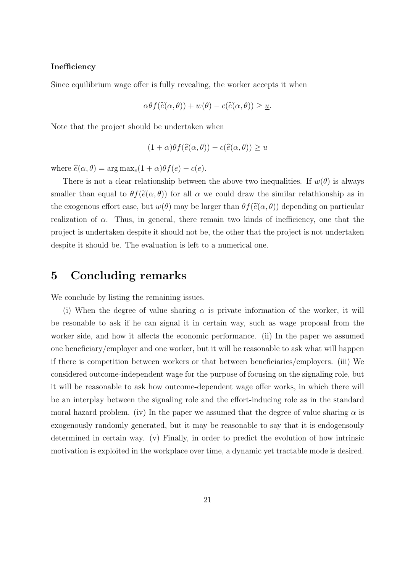#### **Inefficiency**

Since equilibrium wage offer is fully revealing, the worker accepts it when

$$
\alpha \theta f(\widetilde{e}(\alpha,\theta)) + w(\theta) - c(\widetilde{e}(\alpha,\theta)) \ge \underline{u}.
$$

Note that the project should be undertaken when

$$
(1+\alpha)\theta f(\widehat{e}(\alpha,\theta)) - c(\widehat{e}(\alpha,\theta)) \ge \underline{u}
$$

where  $\hat{e}(\alpha, \theta) = \arg \max_{e} (1 + \alpha) \theta f(e) - c(e)$ .

There is not a clear relationship between the above two inequalities. If  $w(\theta)$  is always smaller than equal to  $\theta f(\tilde{e}(\alpha, \theta))$  for all  $\alpha$  we could draw the similar relathionship as in the exogenous effort case, but  $w(\theta)$  may be larger than  $\theta f(\tilde{e}(\alpha, \theta))$  depending on particular realization of  $\alpha$ . Thus, in general, there remain two kinds of inefficiency, one that the project is undertaken despite it should not be, the other that the project is not undertaken despite it should be. The evaluation is left to a numerical one.

# **5 Concluding remarks**

We conclude by listing the remaining issues.

(i) When the degree of value sharing  $\alpha$  is private information of the worker, it will be resonable to ask if he can signal it in certain way, such as wage proposal from the worker side, and how it affects the economic performance. (ii) In the paper we assumed one beneficiary/employer and one worker, but it will be reasonable to ask what will happen if there is competition between workers or that between beneficiaries/employers. (iii) We considered outcome-independent wage for the purpose of focusing on the signaling role, but it will be reasonable to ask how outcome-dependent wage offer works, in which there will be an interplay between the signaling role and the effort-inducing role as in the standard moral hazard problem. (iv) In the paper we assumed that the degree of value sharing  $\alpha$  is exogenously randomly generated, but it may be reasonable to say that it is endogensouly determined in certain way. (v) Finally, in order to predict the evolution of how intrinsic motivation is exploited in the workplace over time, a dynamic yet tractable mode is desired.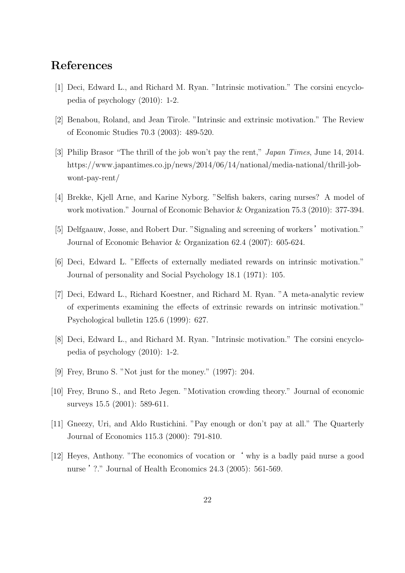# **References**

- [1] Deci, Edward L., and Richard M. Ryan. "Intrinsic motivation." The corsini encyclopedia of psychology (2010): 1-2.
- [2] Benabou, Roland, and Jean Tirole. "Intrinsic and extrinsic motivation." The Review of Economic Studies 70.3 (2003): 489-520.
- [3] Philip Brasor "The thrill of the job won't pay the rent," *Japan Times*, June 14, 2014. https://www.japantimes.co.jp/news/2014/06/14/national/media-national/thrill-jobwont-pay-rent/
- [4] Brekke, Kjell Arne, and Karine Nyborg. "Selfish bakers, caring nurses? A model of work motivation." Journal of Economic Behavior & Organization 75.3 (2010): 377-394.
- [5] Delfgaauw, Josse, and Robert Dur. "Signaling and screening of workers' motivation." Journal of Economic Behavior & Organization 62.4 (2007): 605-624.
- [6] Deci, Edward L. "Effects of externally mediated rewards on intrinsic motivation." Journal of personality and Social Psychology 18.1 (1971): 105.
- [7] Deci, Edward L., Richard Koestner, and Richard M. Ryan. "A meta-analytic review of experiments examining the effects of extrinsic rewards on intrinsic motivation." Psychological bulletin 125.6 (1999): 627.
- [8] Deci, Edward L., and Richard M. Ryan. "Intrinsic motivation." The corsini encyclopedia of psychology (2010): 1-2.
- [9] Frey, Bruno S. "Not just for the money." (1997): 204.
- [10] Frey, Bruno S., and Reto Jegen. "Motivation crowding theory." Journal of economic surveys 15.5 (2001): 589-611.
- [11] Gneezy, Uri, and Aldo Rustichini. "Pay enough or don't pay at all." The Quarterly Journal of Economics 115.3 (2000): 791-810.
- [12] Heyes, Anthony. "The economics of vocation or' why is a badly paid nurse a good nurse '?." Journal of Health Economics 24.3 (2005): 561-569.